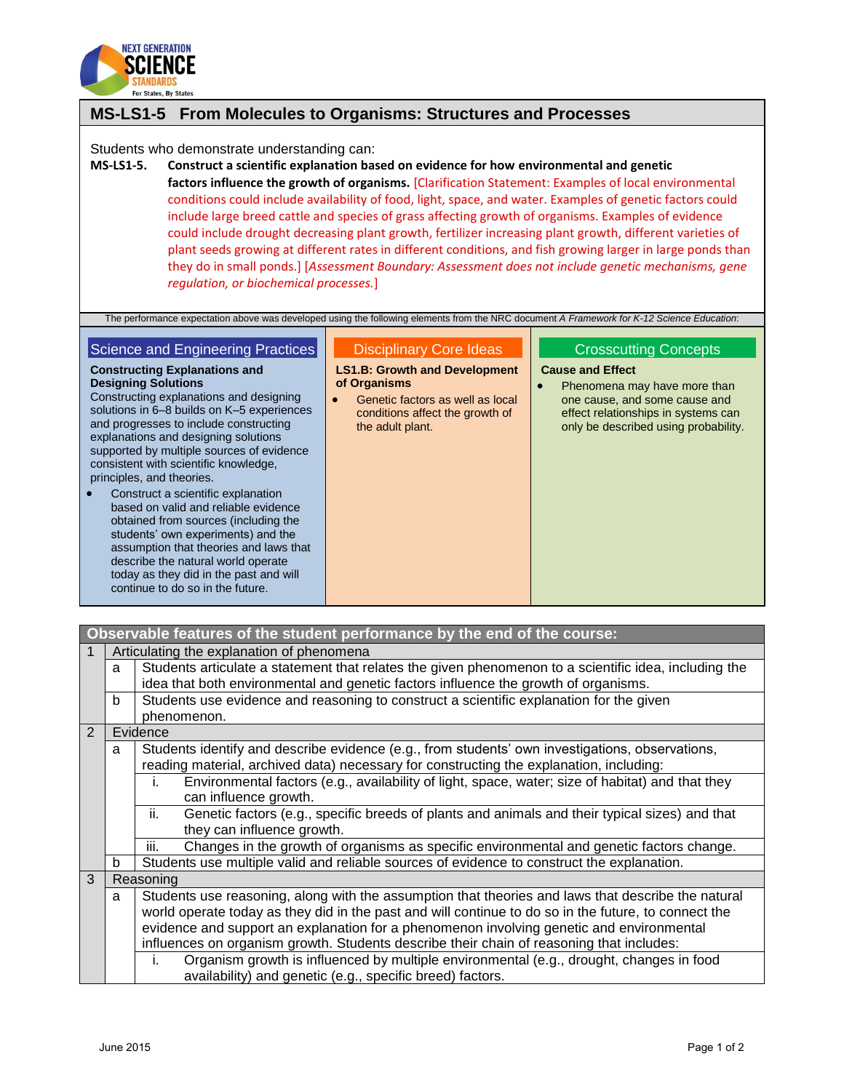

# **MS-LS1-5 From Molecules to Organisms: Structures and Processes**

Students who demonstrate understanding can:

**MS-LS1-5. Construct a scientific explanation based on evidence for how environmental and genetic factors influence the growth of organisms.** [Clarification Statement: Examples of local environmental conditions could include availability of food, light, space, and water. Examples of genetic factors could include large breed cattle and species of grass affecting growth of organisms. Examples of evidence could include drought decreasing plant growth, fertilizer increasing plant growth, different varieties of plant seeds growing at different rates in different conditions, and fish growing larger in large ponds than they do in small ponds.] [*Assessment Boundary: Assessment does not include genetic mechanisms, gene regulation, or biochemical processes.*]

The performance expectation above was developed using the following elements from the NRC document *A Framework for K-12 Science Education*:

#### Science and Engineering Practices

**Constructing Explanations and Designing Solutions**

Constructing explanations and designing solutions in 6–8 builds on K–5 experiences and progresses to include constructing explanations and designing solutions supported by multiple sources of evidence consistent with scientific knowledge, principles, and theories.

 Construct a scientific explanation based on valid and reliable evidence obtained from sources (including the students' own experiments) and the assumption that theories and laws that describe the natural world operate today as they did in the past and will continue to do so in the future.

### Disciplinary Core Ideas

**LS1.B: Growth and Development of Organisms**

 Genetic factors as well as local conditions affect the growth of the adult plant.

## Crosscutting Concepts

#### **Cause and Effect**

• Phenomena may have more than one cause, and some cause and effect relationships in systems can only be described using probability.

| Observable features of the student performance by the end of the course:                             |                                                                                                         |                                                                                                         |  |  |
|------------------------------------------------------------------------------------------------------|---------------------------------------------------------------------------------------------------------|---------------------------------------------------------------------------------------------------------|--|--|
| Articulating the explanation of phenomena                                                            |                                                                                                         |                                                                                                         |  |  |
|                                                                                                      | a                                                                                                       | Students articulate a statement that relates the given phenomenon to a scientific idea, including the   |  |  |
|                                                                                                      | idea that both environmental and genetic factors influence the growth of organisms.                     |                                                                                                         |  |  |
|                                                                                                      | b                                                                                                       | Students use evidence and reasoning to construct a scientific explanation for the given                 |  |  |
|                                                                                                      |                                                                                                         | phenomenon.                                                                                             |  |  |
| 2                                                                                                    | Evidence                                                                                                |                                                                                                         |  |  |
| Students identify and describe evidence (e.g., from students' own investigations, observations,<br>a |                                                                                                         |                                                                                                         |  |  |
|                                                                                                      |                                                                                                         | reading material, archived data) necessary for constructing the explanation, including:                 |  |  |
|                                                                                                      |                                                                                                         | Environmental factors (e.g., availability of light, space, water; size of habitat) and that they<br>i.  |  |  |
|                                                                                                      |                                                                                                         | can influence growth.                                                                                   |  |  |
|                                                                                                      |                                                                                                         | Genetic factors (e.g., specific breeds of plants and animals and their typical sizes) and that<br>ii.   |  |  |
|                                                                                                      |                                                                                                         | they can influence growth.                                                                              |  |  |
|                                                                                                      |                                                                                                         | Changes in the growth of organisms as specific environmental and genetic factors change.<br>iii.        |  |  |
|                                                                                                      | b                                                                                                       | Students use multiple valid and reliable sources of evidence to construct the explanation.              |  |  |
| 3                                                                                                    |                                                                                                         | Reasoning                                                                                               |  |  |
|                                                                                                      | Students use reasoning, along with the assumption that theories and laws that describe the natural<br>a |                                                                                                         |  |  |
|                                                                                                      |                                                                                                         | world operate today as they did in the past and will continue to do so in the future, to connect the    |  |  |
|                                                                                                      |                                                                                                         | evidence and support an explanation for a phenomenon involving genetic and environmental                |  |  |
|                                                                                                      |                                                                                                         | influences on organism growth. Students describe their chain of reasoning that includes:                |  |  |
|                                                                                                      |                                                                                                         | Organism growth is influenced by multiple environmental (e.g., drought, changes in food<br>$\mathbf{L}$ |  |  |
|                                                                                                      |                                                                                                         | availability) and genetic (e.g., specific breed) factors.                                               |  |  |